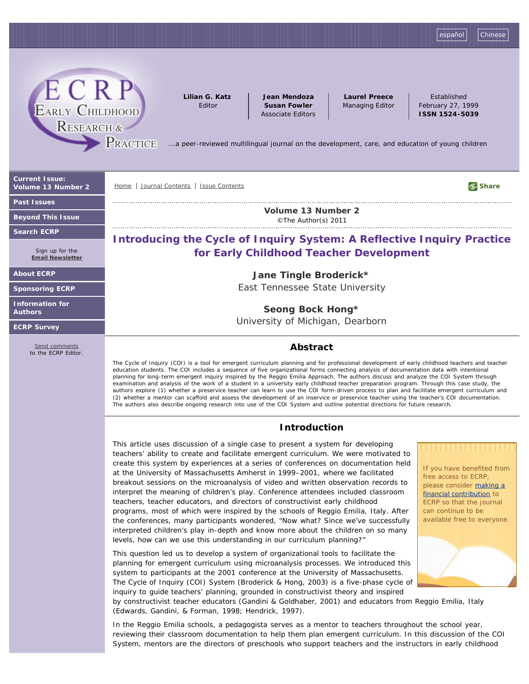[español](http://ecrp.uiuc.edu/index-sp.html) | [Chinese](http://ecrp.uiuc.edu/chinese/index.html)



**Lilian G. Katz** Editor

**Jean Mendoza Susan Fowler** Associate Editors

**Laurel Preece** Managing Editor

Established February 27, 1999 **ISSN 1524-5039**

*[.](http://ecrp.uiuc.edu/index.html)..a peer-reviewed multilingual journal on the development, care, and education of young children*

**[Current Issue:](http://ecrp.uiuc.edu/v13n2/index.html)  [Volume 13 Number 2](http://ecrp.uiuc.edu/v13n2/index.html)**

**[Past Issues](http://ecrp.uiuc.edu/issues.html)**

**[Beyond This Issue](http://ecrp.uiuc.edu/beyond/index.html)**

**[Search ECRP](http://ecrp.uiuc.edu/search.html)**

Sign up for the **[Email Newsletter](https://illinois.edu/fb/sec/7268063)**

**[About ECRP](http://ecrp.uiuc.edu/abtecrp.html)**

**[Sponsoring ECRP](http://ecrp.uiuc.edu/donation.html)**

**[Information for](http://ecrp.uiuc.edu/authinst.html) [Authors](http://ecrp.uiuc.edu/authinst.html)**

**[ECRP Survey](https://illinois.edu/fb/sec/4559945)**

[Send comments](http://ecrp.uiuc.edu/contact.html) to the ECRP Editor. [Home](http://ecrp.uiuc.edu/index.html) [Journal Contents](http://ecrp.uiuc.edu/issues.html) [Issue Contents](http://ecrp.uiuc.edu/v13n2/index.html) **Share Share Share Share Share Share Share Share Share Share Share Share Share Share Share Share Share Share Share Share Share Share Share**

**[Volume 13 Number 2](http://ecrp.uiuc.edu/v13n2/index.html)** ©The Author(s) 2011

# **Introducing the Cycle of Inquiry System: A Reflective Inquiry Practice for Early Childhood Teacher Development**

**Jane Tingle Broderick\*** East Tennessee State University

**Seong Bock Hong\*** University of Michigan, Dearborn

## **Abstract**

The Cycle of Inquiry (COI) is a tool for emergent curriculum planning and for professional development of early childhood teachers and teacher education students. The COI includes a sequence of five organizational forms connecting analysis of documentation data with intentional planning for long-term emergent inquiry inspired by the Reggio Emilia Approach. The authors discuss and analyze the COI System through examination and analysis of the work of a student in a university early childhood teacher preparation program. Through this case study, the authors explore (1) whether a preservice teacher can learn to use the COI form-driven process to plan and facilitate emergent curriculum and (2) whether a mentor can scaffold and assess the development of an inservice or preservice teacher using the teacher's COI documentation. The authors also describe ongoing research into use of the COI System and outline potential directions for future research.

## **Introduction**

This article uses discussion of a single case to present a system for developing teachers' ability to create and facilitate emergent curriculum. We were motivated to create this system by experiences at a series of conferences on documentation held at the University of Massachusetts Amherst in 1999–2001, where we facilitated breakout sessions on the microanalysis of video and written observation records to interpret the meaning of children's play. Conference attendees included classroom teachers, teacher educators, and directors of constructivist early childhood programs, most of which were inspired by the schools of Reggio Emilia, Italy. After the conferences, many participants wondered, "Now what? Since we've successfully interpreted children's play in-depth and know more about the children on so many levels, how can we use this understanding in our curriculum planning?"

This question led us to develop a system of organizational tools to facilitate the planning for emergent curriculum using microanalysis processes. We introduced this system to participants at the 2001 conference at the University of Massachusetts. The Cycle of Inquiry (COI) System (Broderick & Hong, 2003) is a five-phase cycle of inquiry to guide teachers' planning, grounded in constructivist theory and inspired

by constructivist teacher educators (Gandini & Goldhaber, 2001) and educators from Reggio Emilia, Italy (Edwards, Gandini, & Forman, 1998; Hendrick, 1997).

In the Reggio Emilia schools, a *pedagogista* serves as a mentor to teachers throughout the school year, reviewing their classroom documentation to help them plan emergent curriculum. In this discussion of the COI System, *mentors* are the directors of preschools who support teachers and the instructors in early childhood

If you have benefited from free access to ECRP, please consider [making a](http://ecrp.uiuc.edu/donation.html) [financial contribution](http://ecrp.uiuc.edu/donation.html) to ECRP so that the journal can continue to be available free to everyone.

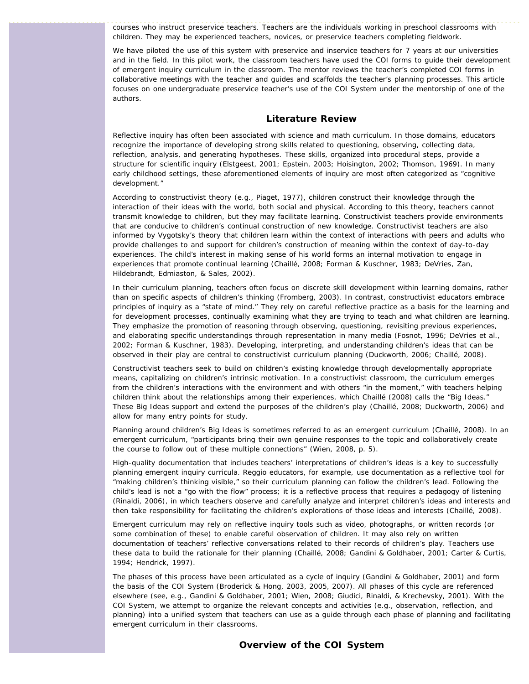courses who instruct preservice teachers. *Teachers* are the individuals working in preschool classrooms with children. They may be experienced teachers, novices, or preservice teachers completing fieldwork.

We have piloted the use of this system with preservice and inservice teachers for 7 years at our universities and in the field. In this pilot work, the classroom teachers have used the COI forms to guide their development of emergent inquiry curriculum in the classroom. The mentor reviews the teacher's completed COI forms in collaborative meetings with the teacher and guides and scaffolds the teacher's planning processes. This article focuses on one undergraduate preservice teacher's use of the COI System under the mentorship of one of the authors.

## **Literature Review**

Reflective inquiry has often been associated with science and math curriculum. In those domains, educators recognize the importance of developing strong skills related to questioning, observing, collecting data, reflection, analysis, and generating hypotheses. These skills, organized into procedural steps, provide a structure for scientific inquiry (Elstgeest, 2001; Epstein, 2003; Hoisington, 2002; Thomson, 1969). In many early childhood settings, these aforementioned elements of inquiry are most often categorized as "cognitive development."

According to constructivist theory (e.g., Piaget, 1977), children construct their knowledge through the interaction of their ideas with the world, both social and physical. According to this theory, teachers cannot transmit knowledge to children, but they may facilitate learning. Constructivist teachers provide environments that are conducive to children's continual construction of new knowledge. Constructivist teachers are also informed by Vygotsky's theory that children learn within the context of interactions with peers and adults who provide challenges to and support for children's construction of meaning within the context of day-to-day experiences. The child's interest in making sense of his world forms an internal motivation to engage in experiences that promote continual learning (Chaillé, 2008; Forman & Kuschner, 1983; DeVries, Zan, Hildebrandt, Edmiaston, & Sales, 2002).

In their curriculum planning, teachers often focus on discrete skill development within learning domains, rather than on specific aspects of children's thinking (Fromberg, 2003). In contrast, constructivist educators embrace principles of inquiry as a "state of mind." They rely on careful reflective practice as a basis for the learning and for development processes, continually examining what they are trying to teach and what children are learning. They emphasize the promotion of reasoning through observing, questioning, revisiting previous experiences, and elaborating specific understandings through representation in many media (Fosnot, 1996; DeVries et al., 2002; Forman & Kuschner, 1983). Developing, interpreting, and understanding children's ideas that can be observed in their play are central to constructivist curriculum planning (Duckworth, 2006; Chaillé, 2008).

Constructivist teachers seek to build on children's existing knowledge through developmentally appropriate means, capitalizing on children's intrinsic motivation. In a constructivist classroom, the curriculum emerges from the children's interactions with the environment and with others "in the moment," with teachers helping children think about the relationships among their experiences, which Chaillé (2008) calls the "Big Ideas." These Big Ideas support and extend the purposes of the children's play (Chaillé, 2008; Duckworth, 2006) and allow for many entry points for study.

Planning around children's Big Ideas is sometimes referred to as an emergent curriculum (Chaillé, 2008). In an emergent curriculum, "participants bring their own genuine responses to the topic and collaboratively create the course to follow out of these multiple connections" (Wien, 2008, p. 5).

High-quality documentation that includes teachers' interpretations of children's ideas is a key to successfully planning emergent inquiry curricula. Reggio educators, for example, use documentation as a reflective tool for "making children's thinking visible," so their curriculum planning can follow the children's lead. Following the child's lead is not a "go with the flow" process; it is a reflective process that requires a pedagogy of listening (Rinaldi, 2006), in which teachers observe and carefully analyze and interpret children's ideas and interests and then take responsibility for facilitating the children's explorations of those ideas and interests (Chaillé, 2008).

Emergent curriculum may rely on reflective inquiry tools such as video, photographs, or written records (or some combination of these) to enable careful observation of children. It may also rely on written documentation of teachers' reflective conversations related to their records of children's play. Teachers use these data to build the rationale for their planning (Chaillé, 2008; Gandini & Goldhaber, 2001; Carter & Curtis, 1994; Hendrick, 1997).

The phases of this process have been articulated as a *cycle of inquiry* (Gandini & Goldhaber, 2001) and form the basis of the COI System (Broderick & Hong, 2003, 2005, 2007). All phases of this cycle are referenced elsewhere (see, e.g., Gandini & Goldhaber, 2001; Wien, 2008; Giudici, Rinaldi, & Krechevsky, 2001). With the COI System, we attempt to organize the relevant concepts and activities (e.g., observation, reflection, and planning) into a unified system that teachers can use as a guide through each phase of planning and facilitating emergent curriculum in their classrooms.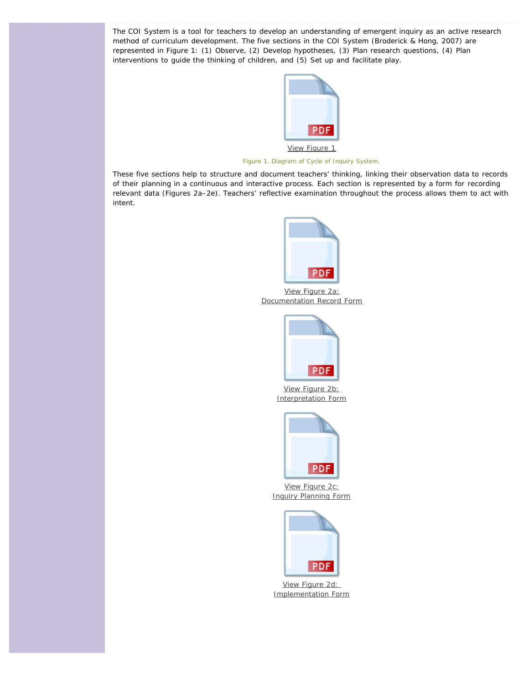The COI System is a tool for teachers to develop an understanding of emergent inquiry as an active research method of curriculum development. The five sections in the COI System (Broderick & Hong, 2007) are represented in Figure 1: (1) Observe, (2) Develop hypotheses, (3) Plan research questions, (4) Plan interventions to guide the thinking of children, and (5) Set up and facilitate play.



*Figure 1. Diagram of Cycle of Inquiry System.*

These five sections help to structure and document teachers' thinking, linking their observation data to records of their planning in a continuous and interactive process. Each section is represented by a form for recording relevant data (Figures 2a–2e). Teachers' reflective examination throughout the process allows them to act with intent.



[View Figure 2a:](http://ecrp.uiuc.edu/figures/v13n2-broderick/figure2a.pdf) [Documentation Record Form](http://ecrp.uiuc.edu/figures/v13n2-broderick/figure2a.pdf)



[View Figure 2b:](http://ecrp.uiuc.edu/figures/v13n2-broderick/figure2b.pdf) [Interpretation Form](http://ecrp.uiuc.edu/figures/v13n2-broderick/figure2b.pdf)



[View Figure 2c:](http://ecrp.uiuc.edu/figures/v13n2-broderick/figure2c.pdf) [Inquiry Planning Form](http://ecrp.uiuc.edu/figures/v13n2-broderick/figure2c.pdf)



[View Figure 2d:](http://ecrp.uiuc.edu/figures/v13n2-broderick/figure2d.pdf)  [Implementation Form](http://ecrp.uiuc.edu/figures/v13n2-broderick/figure2d.pdf)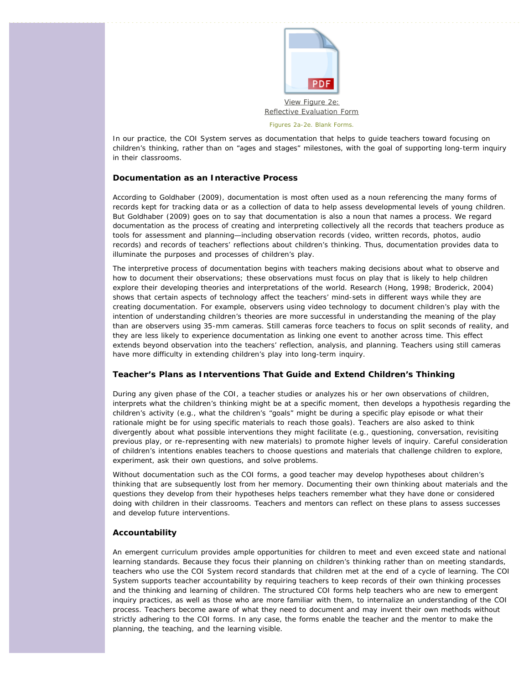![](_page_3_Picture_0.jpeg)

In our practice, the COI System serves as documentation that helps to guide teachers toward focusing on children's thinking, rather than on "ages and stages" milestones, with the goal of supporting long-term inquiry in their classrooms.

## **Documentation as an Interactive Process**

According to Goldhaber (2009), *documentation* is most often used as a noun referencing the many forms of records kept for tracking data or as a collection of data to help assess developmental levels of young children. But Goldhaber (2009) goes on to say that documentation is also a noun that names a process. We regard documentation as the process of creating and interpreting collectively all the records that teachers produce as tools for assessment and planning—including observation records (video, written records, photos, audio records) and records of teachers' reflections about children's thinking. Thus, documentation provides data to illuminate the purposes and processes of children's play.

The interpretive process of documentation begins with teachers making decisions about what to observe and how to document their observations; these observations must focus on play that is likely to help children explore their developing theories and interpretations of the world. Research (Hong, 1998; Broderick, 2004) shows that certain aspects of technology affect the teachers' mind-sets in different ways while they are creating documentation. For example, observers using video technology to document children's play with the intention of understanding children's theories are more successful in understanding the meaning of the play than are observers using 35-mm cameras. Still cameras force teachers to focus on split seconds of reality, and they are less likely to experience documentation as linking one event to another across time. This effect extends beyond observation into the teachers' reflection, analysis, and planning. Teachers using still cameras have more difficulty in extending children's play into long-term inquiry.

#### **Teacher's Plans as Interventions That Guide and Extend Children's Thinking**

During any given phase of the COI, a teacher studies or analyzes his or her own observations of children, interprets what the children's thinking might be at a specific moment, then develops a hypothesis regarding the children's activity (e.g., what the children's "goals" might be during a specific play episode or what their rationale might be for using specific materials to reach those goals). Teachers are also asked to think divergently about what possible interventions they might facilitate (e.g., questioning, conversation, revisiting previous play, or re-representing with new materials) to promote higher levels of inquiry. Careful consideration of children's intentions enables teachers to choose questions and materials that challenge children to explore, experiment, ask their own questions, and solve problems.

Without documentation such as the COI forms, a good teacher may develop hypotheses about children's thinking that are subsequently lost from her memory. Documenting their own thinking about materials and the questions they develop from their hypotheses helps teachers remember what they have done or considered doing with children in their classrooms. Teachers and mentors can reflect on these plans to assess successes and develop future interventions.

#### **Accountability**

An emergent curriculum provides ample opportunities for children to meet and even exceed state and national learning standards. Because they focus their planning on children's thinking rather than on meeting standards, teachers who use the COI System record standards that children met at the end of a cycle of learning. The COI System supports teacher accountability by requiring teachers to keep records of their own thinking processes and the thinking and learning of children. The structured COI forms help teachers who are new to emergent inquiry practices, as well as those who are more familiar with them, to internalize an understanding of the COI process. Teachers become aware of what they need to document and may invent their own methods without strictly adhering to the COI forms. In any case, the forms enable the teacher and the mentor to make the planning, the teaching, and the learning visible.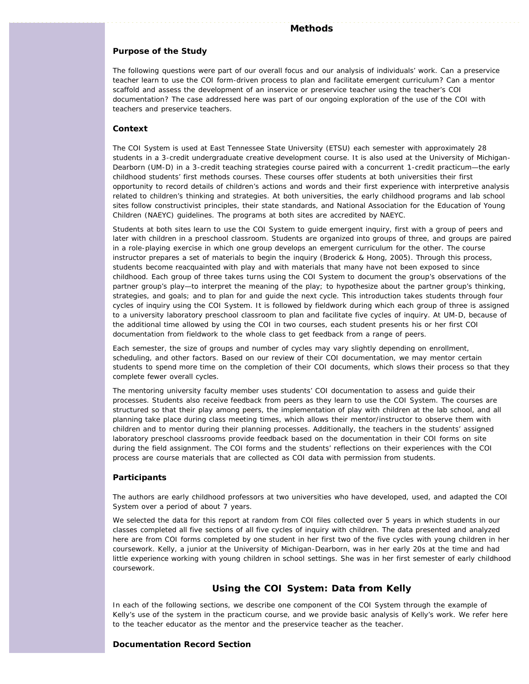#### **Methods**

#### **Purpose of the Study**

The following questions were part of our overall focus and our analysis of individuals' work. Can a preservice teacher learn to use the COI form-driven process to plan and facilitate emergent curriculum? Can a mentor scaffold and assess the development of an inservice or preservice teacher using the teacher's COI documentation? The case addressed here was part of our ongoing exploration of the use of the COI with teachers and preservice teachers.

#### **Context**

The COI System is used at East Tennessee State University (ETSU) each semester with approximately 28 students in a 3-credit undergraduate creative development course. It is also used at the University of Michigan-Dearborn (UM-D) in a 3-credit teaching strategies course paired with a concurrent 1-credit practicum—the early childhood students' first methods courses. These courses offer students at both universities their first opportunity to record details of children's actions and words and their first experience with interpretive analysis related to children's thinking and strategies. At both universities, the early childhood programs and lab school sites follow constructivist principles, their state standards, and National Association for the Education of Young Children (NAEYC) guidelines. The programs at both sites are accredited by NAEYC.

Students at both sites learn to use the COI System to guide emergent inquiry, first with a group of peers and later with children in a preschool classroom. Students are organized into groups of three, and groups are paired in a role-playing exercise in which one group develops an emergent curriculum for the other. The course instructor prepares a set of materials to begin the inquiry (Broderick & Hong, 2005). Through this process, students become reacquainted with play and with materials that many have not been exposed to since childhood. Each group of three takes turns using the COI System to document the group's observations of the partner group's play—to interpret the meaning of the play; to hypothesize about the partner group's thinking, strategies, and goals; and to plan for and guide the next cycle. This introduction takes students through four cycles of inquiry using the COI System. It is followed by fieldwork during which each group of three is assigned to a university laboratory preschool classroom to plan and facilitate five cycles of inquiry. At UM-D, because of the additional time allowed by using the COI in two courses, each student presents his or her first COI documentation from fieldwork to the whole class to get feedback from a range of peers.

Each semester, the size of groups and number of cycles may vary slightly depending on enrollment, scheduling, and other factors. Based on our review of their COI documentation, we may mentor certain students to spend more time on the completion of their COI documents, which slows their process so that they complete fewer overall cycles.

The mentoring university faculty member uses students' COI documentation to assess and guide their processes. Students also receive feedback from peers as they learn to use the COI System. The courses are structured so that their play among peers, the implementation of play with children at the lab school, and all planning take place during class meeting times, which allows their mentor/instructor to observe them with children and to mentor during their planning processes. Additionally, the teachers in the students' assigned laboratory preschool classrooms provide feedback based on the documentation in their COI forms on site during the field assignment. The COI forms and the students' reflections on their experiences with the COI process are course materials that are collected as COI data with permission from students.

#### **Participants**

The authors are early childhood professors at two universities who have developed, used, and adapted the COI System over a period of about 7 years.

We selected the data for this report at random from COI files collected over 5 years in which students in our classes completed all five sections of all five cycles of inquiry with children. The data presented and analyzed here are from COI forms completed by one student in her first two of the five cycles with young children in her coursework. Kelly, a junior at the University of Michigan-Dearborn, was in her early 20s at the time and had little experience working with young children in school settings. She was in her first semester of early childhood coursework.

## **Using the COI System: Data from Kelly**

In each of the following sections, we describe one component of the COI System through the example of Kelly's use of the system in the practicum course, and we provide basic analysis of Kelly's work. We refer here to the teacher educator as the mentor and the preservice teacher as the teacher.

#### **Documentation Record Section**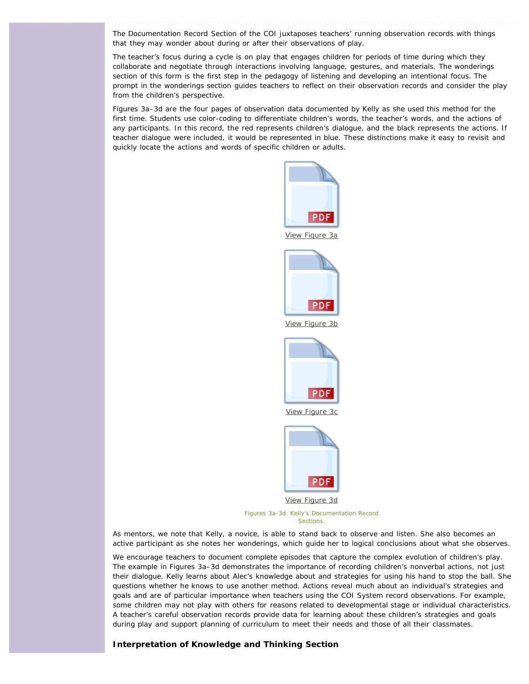The Documentation Record Section of the COI juxtaposes teachers' running observation records with things that they may wonder about during or after their observations of play.

The teacher's focus during a cycle is on play that engages children for periods of time during which they collaborate and negotiate through interactions involving language, gestures, and materials. The wonderings section of this form is the first step in the pedagogy of listening and developing an intentional focus. The prompt in the wonderings section guides teachers to reflect on their observation records and consider the play from the children's perspective.

Figures 3a–3d are the four pages of observation data documented by Kelly as she used this method for the first time. Students use color-coding to differentiate children's words, the teacher's words, and the actions of any participants. In this record, the red represents children's dialogue, and the black represents the actions. If teacher dialogue were included, it would be represented in blue. These distinctions make it easy to revisit and quickly locate the actions and words of specific children or adults.

![](_page_5_Figure_3.jpeg)

As mentors, we note that Kelly, a novice, is able to stand back to observe and listen. She also becomes an active participant as she notes her wonderings, which guide her to logical conclusions about what she observes.

We encourage teachers to document complete episodes that capture the complex evolution of children's play. The example in Figures 3a–3d demonstrates the importance of recording children's nonverbal actions, not just their dialogue. Kelly learns about Alec's knowledge about and strategies for using his hand to stop the ball. She questions whether he knows to use another method. Actions reveal much about an individual's strategies and goals and are of particular importance when teachers using the COI System record observations. For example, some children may not play with others for reasons related to developmental stage or individual characteristics. A teacher's careful observation records provide data for learning about these children's strategies and goals during play and support planning of curriculum to meet their needs and those of all their classmates.

#### **Interpretation of Knowledge and Thinking Section**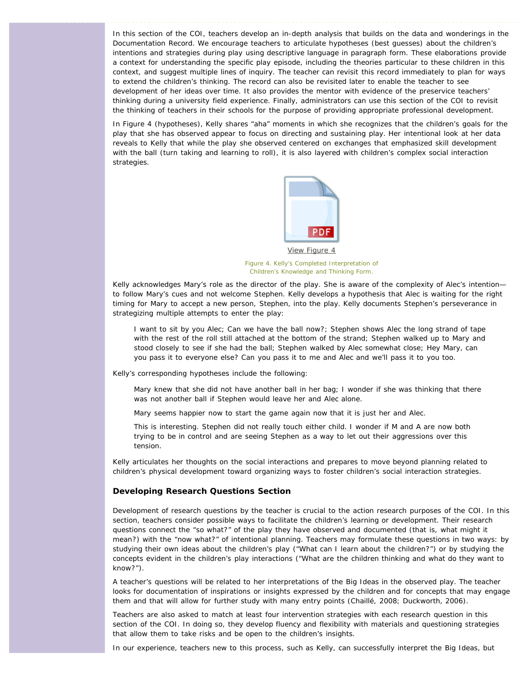In this section of the COI, teachers develop an in-depth analysis that builds on the data and wonderings in the Documentation Record. We encourage teachers to articulate hypotheses (best guesses) about the children's intentions and strategies during play using descriptive language in paragraph form. These elaborations provide a context for understanding the specific play episode, including the theories particular to these children in this context, and suggest multiple lines of inquiry. The teacher can revisit this record immediately to plan for ways to extend the children's thinking. The record can also be revisited later to enable the teacher to see development of her ideas over time. It also provides the mentor with evidence of the preservice teachers' thinking during a university field experience. Finally, administrators can use this section of the COI to revisit the thinking of teachers in their schools for the purpose of providing appropriate professional development.

In Figure 4 (hypotheses), Kelly shares "aha" moments in which she recognizes that the children's goals for the play that she has observed appear to focus on directing and sustaining play. Her intentional look at her data reveals to Kelly that while the play she observed centered on exchanges that emphasized skill development with the ball (turn taking and learning to roll), it is also layered with children's complex social interaction strategies.

![](_page_6_Picture_2.jpeg)

*Figure 4. Kelly's Completed Interpretation of Children's Knowledge and Thinking Form.*

Kelly acknowledges Mary's role as the director of the play. She is aware of the complexity of Alec's intention to follow Mary's cues and not welcome Stephen. Kelly develops a hypothesis that Alec is waiting for the right timing for Mary to accept a new person, Stephen, into the play. Kelly documents Stephen's perseverance in strategizing multiple attempts to enter the play:

I want to sit by you Alec; Can we have the ball now?; Stephen shows Alec the long strand of tape with the rest of the roll still attached at the bottom of the strand; Stephen walked up to Mary and stood closely to see if she had the ball; Stephen walked by Alec somewhat close; Hey Mary, can you pass it to everyone else? Can you pass it to me and Alec and we'll pass it to you too.

Kelly's corresponding hypotheses include the following:

Mary knew that she did not have another ball in her bag; I wonder if she was thinking that there was not another ball if Stephen would leave her and Alec alone.

Mary seems happier now to start the game again now that it is just her and Alec.

This is interesting. Stephen did not really touch either child. I wonder if M and A are now both trying to be in control and are seeing Stephen as a way to let out their aggressions over this tension.

Kelly articulates her thoughts on the social interactions and prepares to move beyond planning related to children's physical development toward organizing ways to foster children's social interaction strategies.

#### **Developing Research Questions Section**

Development of research questions by the teacher is crucial to the action research purposes of the COI. In this section, teachers consider possible ways to facilitate the children's learning or development. Their research questions connect the "so what?" of the play they have observed and documented (that is, what might it mean?) with the "now what?" of intentional planning. Teachers may formulate these questions in two ways: by studying their own ideas about the children's play ("What can I learn about the children?") or by studying the concepts evident in the children's play interactions ("What are the children thinking and what do they want to know?").

A teacher's questions will be related to her interpretations of the Big Ideas in the observed play. The teacher looks for documentation of inspirations or insights expressed by the children and for concepts that may engage them and that will allow for further study with many entry points (Chaillé, 2008; Duckworth, 2006).

Teachers are also asked to match at least four intervention strategies with each research question in this section of the COI. In doing so, they develop fluency and flexibility with materials and questioning strategies that allow them to take risks and be open to the children's insights.

In our experience, teachers new to this process, such as Kelly, can successfully interpret the Big Ideas, but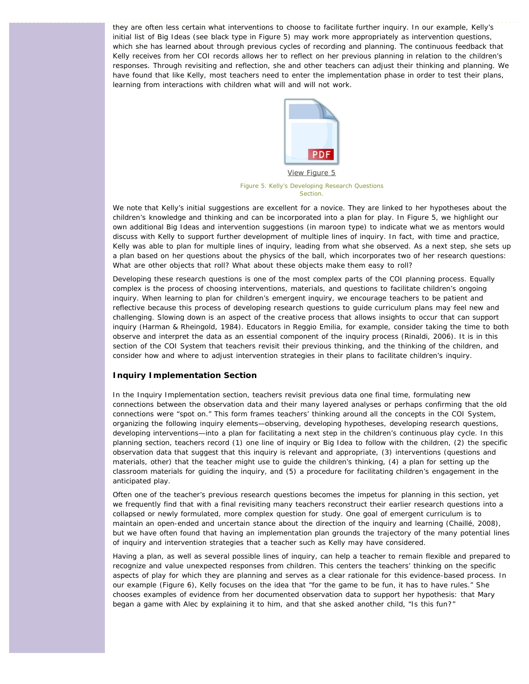they are often less certain what interventions to choose to facilitate further inquiry. In our example, Kelly's initial list of Big Ideas (see black type in Figure 5) may work more appropriately as intervention questions, which she has learned about through previous cycles of recording and planning. The continuous feedback that Kelly receives from her COI records allows her to reflect on her previous planning in relation to the children's responses. Through revisiting and reflection, she and other teachers can adjust their thinking and planning. We have found that like Kelly, most teachers need to enter the implementation phase in order to test their plans, learning from interactions with children what will and will not work.

![](_page_7_Picture_1.jpeg)

*Figure 5. Kelly's Developing Research Questions Section.*

We note that Kelly's initial suggestions are excellent for a novice. They are linked to her hypotheses about the children's knowledge and thinking and can be incorporated into a plan for play. In Figure 5, we highlight our own additional Big Ideas and intervention suggestions (in maroon type) to indicate what we as mentors would discuss with Kelly to support further development of multiple lines of inquiry. In fact, with time and practice, Kelly was able to plan for multiple lines of inquiry, leading from what she observed. As a next step, she sets up a plan based on her questions about the physics of the ball, which incorporates two of her research questions: What are other objects that roll? What about these objects make them easy to roll?

Developing these research questions is one of the most complex parts of the COI planning process. Equally complex is the process of choosing interventions, materials, and questions to facilitate children's ongoing inquiry*.* When learning to plan for children's emergent inquiry, we encourage teachers to be patient and reflective because this process of developing research questions to guide curriculum plans may feel new and challenging. Slowing down is an aspect of the creative process that allows insights to occur that can support inquiry (Harman & Rheingold, 1984). Educators in Reggio Emilia, for example, consider taking the time to both observe and interpret the data as an essential component of the inquiry process (Rinaldi, 2006). It is in this section of the COI System that teachers revisit their previous thinking, and the thinking of the children, and consider how and where to adjust intervention strategies in their plans to facilitate children's inquiry.

### **Inquiry Implementation Section**

In the Inquiry Implementation section, teachers revisit previous data one final time, formulating new connections between the observation data and their many layered analyses or perhaps confirming that the old connections were "spot on." This form frames teachers' thinking around all the concepts in the COI System, organizing the following inquiry elements—observing, developing hypotheses, developing research questions, developing interventions—into a plan for facilitating a next step in the children's continuous play cycle. In this planning section, teachers record (1) one line of inquiry or Big Idea to follow with the children, (2) the specific observation data that suggest that this inquiry is relevant and appropriate, (3) interventions (questions and materials, other) that the teacher might use to guide the children's thinking, (4) a plan for setting up the classroom materials for guiding the inquiry, and (5) a procedure for facilitating children's engagement in the anticipated play.

Often one of the teacher's previous research questions becomes the impetus for planning in this section, yet we frequently find that with a final revisiting many teachers reconstruct their earlier research questions into a collapsed or newly formulated, more complex question for study. One goal of emergent curriculum is to maintain an open-ended and uncertain stance about the direction of the inquiry and learning (Chaillé, 2008), but we have often found that having an implementation plan grounds the trajectory of the many potential lines of inquiry and intervention strategies that a teacher such as Kelly may have considered.

Having a plan, as well as several possible lines of inquiry, can help a teacher to remain flexible and prepared to recognize and value unexpected responses from children. This centers the teachers' thinking on the specific aspects of play for which they are planning and serves as a clear rationale for this evidence-based process. In our example (Figure 6), Kelly focuses on the idea that "for the game to be fun, it has to have rules." She chooses examples of evidence from her documented observation data to support her hypothesis: that Mary began a game with Alec by explaining it to him, and that she asked another child, "Is this fun?"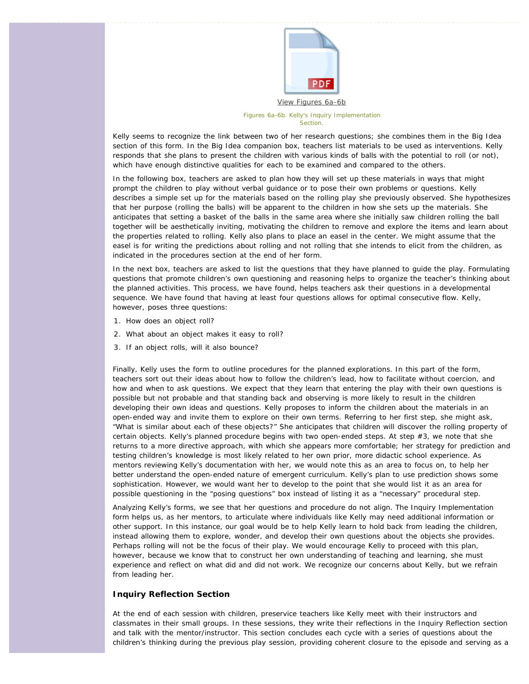![](_page_8_Picture_0.jpeg)

[View Figures 6a-6b](http://ecrp.uiuc.edu/figures/v13n2-broderick/figure6a-6b.pdf) *Figures 6a-6b. Kelly's Inquiry Implementation Section.*

Kelly seems to recognize the link between two of her research questions; she combines them in the Big Idea section of this form. In the Big Idea companion box, teachers list materials to be used as interventions. Kelly responds that she plans to present the children with various kinds of balls with the potential to roll (or not), which have enough distinctive qualities for each to be examined and compared to the others.

In the following box, teachers are asked to plan how they will set up these materials in ways that might prompt the children to play without verbal guidance or to pose their own problems or questions. Kelly describes a simple set up for the materials based on the rolling play she previously observed. She hypothesizes that her purpose (rolling the balls) will be apparent to the children in how she sets up the materials. She anticipates that setting a basket of the balls in the same area where she initially saw children rolling the ball together will be aesthetically inviting, motivating the children to remove and explore the items and learn about the properties related to rolling. Kelly also plans to place an easel in the center. We might assume that the easel is for writing the predictions about rolling and not rolling that she intends to elicit from the children, as indicated in the procedures section at the end of her form.

In the next box, teachers are asked to list the questions that they have planned to guide the play. Formulating questions that promote children's own questioning and reasoning helps to organize the teacher's thinking about the planned activities. This process, we have found, helps teachers ask their questions in a developmental sequence. We have found that having at least four questions allows for optimal consecutive flow. Kelly, however, poses three questions:

- 1. How does an object roll?
- 2. What about an object makes it easy to roll?
- 3. If an object rolls, will it also bounce?

Finally, Kelly uses the form to outline procedures for the planned explorations. In this part of the form, teachers sort out their ideas about how to follow the children's lead, how to facilitate without coercion, and how and when to ask questions. We expect that they learn that entering the play with their own questions is possible but not probable and that standing back and observing is more likely to result in the children developing their own ideas and questions. Kelly proposes to inform the children about the materials in an open-ended way and invite them to explore on their own terms. Referring to her first step, she might ask, "What is similar about each of these objects?" She anticipates that children will discover the rolling property of certain objects. Kelly's planned procedure begins with two open-ended steps. At step #3, we note that she returns to a more directive approach, with which she appears more comfortable; her strategy for prediction and testing children's knowledge is most likely related to her own prior, more didactic school experience. As mentors reviewing Kelly's documentation with her, we would note this as an area to focus on, to help her better understand the open-ended nature of emergent curriculum. Kelly's plan to use prediction shows some sophistication. However, we would want her to develop to the point that she would list it as an area for possible questioning in the "posing questions" box instead of listing it as a "necessary" procedural step.

Analyzing Kelly's forms, we see that her questions and procedure do not align. The *Inquiry Implementation form* helps us, as her mentors, to articulate where individuals like Kelly may need additional information or other support. In this instance, our goal would be to help Kelly learn to hold back from leading the children, instead allowing them to explore, wonder, and develop their own questions about the objects she provides. Perhaps rolling will not be the focus of their play. We would encourage Kelly to proceed with this plan, however, because we know that to construct her own understanding of teaching and learning, she must experience and reflect on what did and did not work. We recognize our concerns about Kelly, but we refrain from leading her.

#### **Inquiry Reflection Section**

At the end of each session with children, preservice teachers like Kelly meet with their instructors and classmates in their small groups. In these sessions, they write their reflections in the *Inquiry Reflection* section and talk with the mentor/instructor. This section concludes each cycle with a series of questions about the children's thinking during the previous play session, providing coherent closure to the episode and serving as a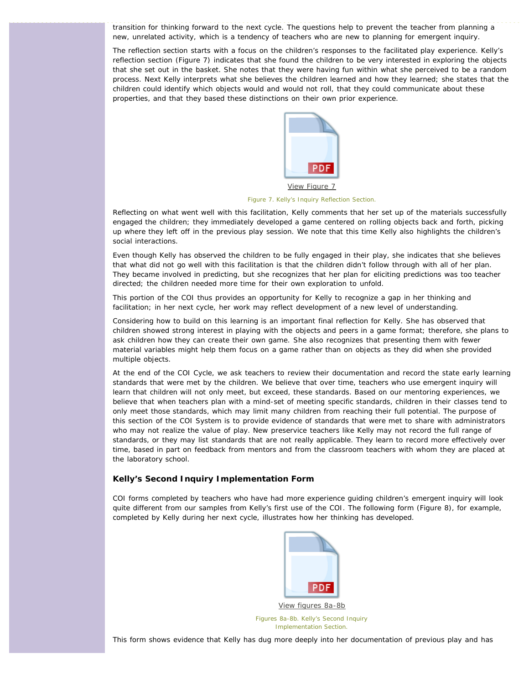transition for thinking forward to the next cycle. The questions help to prevent the teacher from planning a new, unrelated activity, which is a tendency of teachers who are new to planning for emergent inquiry.

The reflection section starts with a focus on the children's responses to the facilitated play experience. Kelly's reflection section (Figure 7) indicates that she found the children to be very interested in exploring the objects that she set out in the basket. She notes that they were having fun within what she perceived to be a random process. Next Kelly interprets what she believes the children learned and how they learned; she states that the children could identify which objects would and would not roll, that they could communicate about these properties, and that they based these distinctions on their own prior experience.

![](_page_9_Picture_2.jpeg)

*Figure 7. Kelly's Inquiry Reflection Section.*

Reflecting on what went well with this facilitation, Kelly comments that her set up of the materials successfully engaged the children; they immediately developed a game centered on rolling objects back and forth, picking up where they left off in the previous play session. We note that this time Kelly also highlights the children's social interactions.

Even though Kelly has observed the children to be fully engaged in their play, she indicates that she believes that what did not go well with this facilitation is that the children didn't follow through with all of her plan. They became involved in predicting, but she recognizes that her plan for eliciting predictions was too teacher directed; the children needed more time for their own exploration to unfold.

This portion of the COI thus provides an opportunity for Kelly to recognize a gap in her thinking and facilitation; in her next cycle, her work may reflect development of a new level of understanding.

Considering how to build on this learning is an important final reflection for Kelly. She has observed that children showed strong interest in playing with the objects and peers in a game format; therefore, she plans to ask children how they can create their own game. She also recognizes that presenting them with fewer material variables might help them focus on a game rather than on objects as they did when she provided multiple objects.

At the end of the COI Cycle, we ask teachers to review their documentation and record the state early learning standards that were met by the children. We believe that over time, teachers who use emergent inquiry will learn that children will not only meet, but exceed, these standards. Based on our mentoring experiences, we believe that when teachers plan with a mind-set of meeting specific standards, children in their classes tend to only meet those standards, which may limit many children from reaching their full potential. The purpose of this section of the COI System is to provide evidence of standards that were met to share with administrators who may not realize the value of play. New preservice teachers like Kelly may not record the full range of standards, or they may list standards that are not really applicable. They learn to record more effectively over time, based in part on feedback from mentors and from the classroom teachers with whom they are placed at the laboratory school.

## **Kelly's Second Inquiry Implementation Form**

COI forms completed by teachers who have had more experience guiding children's emergent inquiry will look quite different from our samples from Kelly's first use of the COI. The following form (Figure 8), for example, completed by Kelly during her next cycle, illustrates how her thinking has developed.

![](_page_9_Picture_11.jpeg)

[View figures 8a-8b](http://ecrp.uiuc.edu/figures/v13n2-broderick/figure8a-8b.pdf)

*Figures 8a-8b. Kelly's Second Inquiry Implementation Section.*

This form shows evidence that Kelly has dug more deeply into her documentation of previous play and has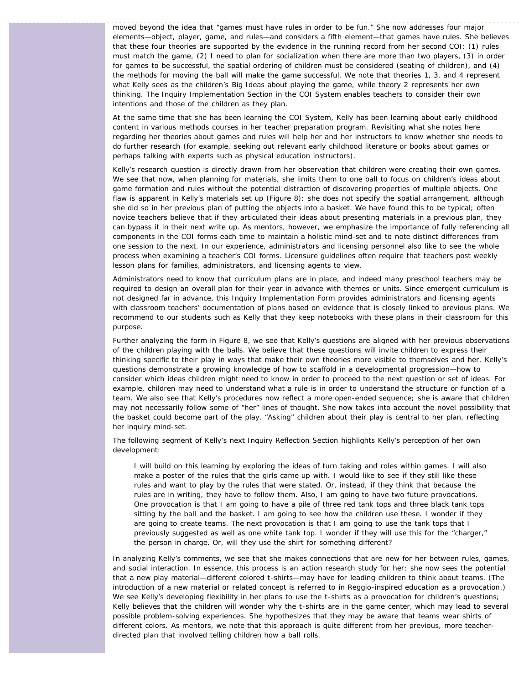moved beyond the idea that "games must have rules in order to be fun." She now addresses four major elements—object, player, game, and rules—and considers a fifth element—that games have rules. She believes that these four theories are supported by the evidence in the running record from her second COI: (1) rules must match the game, (2) I need to plan for socialization when there are more than two players, (3) in order for games to be successful, the spatial ordering of children must be considered (seating of children), and (4) the methods for moving the ball will make the game successful. We note that theories 1, 3, and 4 represent what Kelly sees as the children's Big Ideas about playing the game, while theory 2 represents her own thinking. The *Inquiry Implementation Section* in the COI System enables teachers to consider their own intentions and those of the children as they plan.

At the same time that she has been learning the COI System, Kelly has been learning about early childhood content in various methods courses in her teacher preparation program. Revisiting what she notes here regarding her theories about games and rules will help her and her instructors to know whether she needs to do further research (for example, seeking out relevant early childhood literature or books about games or perhaps talking with experts such as physical education instructors).

Kelly's research question is directly drawn from her observation that children were creating their own games. We see that now, when planning for materials, she limits them to one ball to focus on children's ideas about game formation and rules without the potential distraction of discovering properties of multiple objects. One flaw is apparent in Kelly's materials set up (Figure 8): she does not specify the spatial arrangement, although she did so in her previous plan of putting the objects into a basket. We have found this to be typical; often novice teachers believe that if they articulated their ideas about presenting materials in a previous plan, they can bypass it in their next write up. As mentors, however, we emphasize the importance of fully referencing all components in the COI forms each time to maintain a holistic mind-set and to note distinct differences from one session to the next. In our experience, administrators and licensing personnel also like to see the whole process when examining a teacher's COI forms. Licensure guidelines often require that teachers post weekly lesson plans for families, administrators, and licensing agents to view.

Administrators need to know that curriculum plans are in place, and indeed many preschool teachers may be required to design an overall plan for their year in advance with themes or units. Since emergent curriculum is not designed far in advance, this *Inquiry Implementation Form* provides administrators and licensing agents with classroom teachers' documentation of plans based on evidence that is closely linked to previous plans. We recommend to our students such as Kelly that they keep notebooks with these plans in their classroom for this purpose.

Further analyzing the form in Figure 8, we see that Kelly's questions are aligned with her previous observations of the children playing with the balls. We believe that these questions will invite children to express their thinking specific to their play in ways that make their own theories more visible to themselves and her. Kelly's questions demonstrate a growing knowledge of how to scaffold in a developmental progression—how to consider which ideas children might need to know in order to proceed to the next question or set of ideas. For example, children may need to understand what a rule is in order to understand the structure or function of a team. We also see that Kelly's procedures now reflect a more open-ended sequence; she is aware that children may not necessarily follow some of "her" lines of thought. She now takes into account the novel possibility that the basket could become part of the play. "Asking" children about their play is central to her plan, reflecting her inquiry mind-set.

The following segment of Kelly's next *Inquiry Reflection Section* highlights Kelly's perception of her own development:

I will build on this learning by exploring the ideas of turn taking and roles within games. I will also make a poster of the rules that the girls came up with. I would like to see if they still like these rules and want to play by the rules that were stated. Or, instead, if they think that because the rules are in writing, they have to follow them. Also, I am going to have two future provocations. One provocation is that I am going to have a pile of three red tank tops and three black tank tops sitting by the ball and the basket. I am going to see how the children use these. I wonder if they are going to create teams. The next provocation is that I am going to use the tank tops that I previously suggested as well as one white tank top. I wonder if they will use this for the "charger," the person in charge. Or, will they use the shirt for something different?

In analyzing Kelly's comments, we see that she makes connections that are new for her between rules, games, and social interaction. In essence, this process is an action research study for her; she now sees the potential that a new play material—different colored t-shirts—may have for leading children to think about teams. (The introduction of a new material or related concept is referred to in Reggio-inspired education as a *provocation*.) We see Kelly's developing flexibility in her plans to use the t-shirts as a provocation for children's questions; Kelly believes that the children will wonder why the t-shirts are in the game center, which may lead to several possible problem-solving experiences. She hypothesizes that they may be aware that teams wear shirts of different colors. As mentors, we note that this approach is quite different from her previous, more teacherdirected plan that involved telling children how a ball rolls.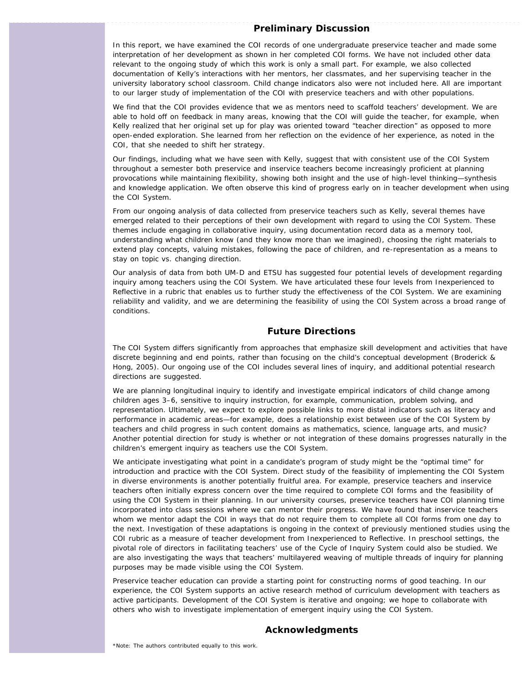## **Preliminary Discussion**

In this report, we have examined the COI records of one undergraduate preservice teacher and made some interpretation of her development as shown in her completed COI forms. We have not included other data relevant to the ongoing study of which this work is only a small part. For example, we also collected documentation of Kelly's interactions with her mentors, her classmates, and her supervising teacher in the university laboratory school classroom. Child change indicators also were not included here. All are important to our larger study of implementation of the COI with preservice teachers and with other populations.

We find that the COI provides evidence that we as mentors need to scaffold teachers' development. We are able to hold off on feedback in many areas, knowing that the COI will guide the teacher, for example, when Kelly realized that her original set up for play was oriented toward "teacher direction" as opposed to more open-ended exploration. She learned from her reflection on the evidence of her experience, as noted in the COI, that she needed to shift her strategy.

Our findings, including what we have seen with Kelly, suggest that with consistent use of the COI System throughout a semester both preservice and inservice teachers become increasingly proficient at planning provocations while maintaining flexibility, showing both insight and the use of high-level thinking—synthesis and knowledge application. We often observe this kind of progress early on in teacher development when using the COI System.

From our ongoing analysis of data collected from preservice teachers such as Kelly, several themes have emerged related to their perceptions of their own development with regard to using the COI System. These themes include *engaging in collaborative inquiry, using documentation record data as a memory tool, understanding what children know (and they know more than we imagined), choosing the right materials to extend play concepts, valuing mistakes, following the pace of children, and re-representation as a means to stay on topic vs. changing direction.*

Our analysis of data from both UM-D and ETSU has suggested four potential levels of development regarding inquiry among teachers using the COI System. We have articulated these four levels from *Inexperienced* to *Reflective* in a rubric that enables us to further study the effectiveness of the COI System. We are examining reliability and validity, and we are determining the feasibility of using the COI System across a broad range of conditions.

## **Future Directions**

The COI System differs significantly from approaches that emphasize skill development and activities that have discrete beginning and end points, rather than focusing on the child's conceptual development (Broderick & Hong, 2005). Our ongoing use of the COI includes several lines of inquiry, and additional potential research directions are suggested.

We are planning longitudinal inquiry to identify and investigate empirical indicators of child change among children ages 3–6, sensitive to inquiry instruction, for example, communication, problem solving, and representation. Ultimately, we expect to explore possible links to more distal indicators such as literacy and performance in academic areas—for example, does a relationship exist between use of the COI System by teachers and child progress in such content domains as mathematics, science, language arts, and music? Another potential direction for study is whether or not integration of these domains progresses naturally in the children's emergent inquiry as teachers use the COI System.

We anticipate investigating what point in a candidate's program of study might be the "optimal time" for introduction and practice with the COI System. Direct study of the feasibility of implementing the COI System in diverse environments is another potentially fruitful area. For example, preservice teachers and inservice teachers often initially express concern over the time required to complete COI forms and the feasibility of using the COI System in their planning. In our university courses, preservice teachers have COI planning time incorporated into class sessions where we can mentor their progress. We have found that inservice teachers whom we mentor adapt the COI in ways that do not require them to complete all COI forms from one day to the next. Investigation of these adaptations is ongoing in the context of previously mentioned studies using the COI rubric as a measure of teacher development from *Inexperienced* to *Reflective*. In preschool settings, the pivotal role of directors in facilitating teachers' use of the Cycle of Inquiry System could also be studied. We are also investigating the ways that teachers' multilayered weaving of multiple threads of inquiry for planning purposes may be made visible using the COI System.

Preservice teacher education can provide a starting point for constructing norms of good teaching. In our experience, the COI System supports an active research method of curriculum development with teachers as active participants. Development of the COI System is iterative and ongoing; we hope to collaborate with others who wish to investigate implementation of emergent inquiry using the COI System.

## **Acknowledgments**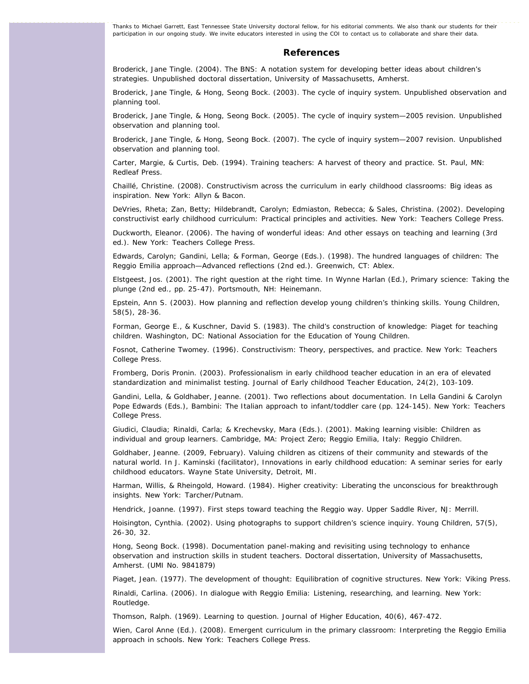Thanks to Michael Garrett, East Tennessee State University doctoral fellow, for his editorial comments. We also thank our students for their participation in our ongoing study. We invite educators interested in using the COI to contact us to collaborate and share their data.

#### **References**

Broderick, Jane Tingle. (2004). *The BNS: A notation system for developing better ideas about children's strategies.* Unpublished doctoral dissertation, University of Massachusetts, Amherst.

Broderick, Jane Tingle, & Hong, Seong Bock. (2003). *The cycle of inquiry system.* Unpublished observation and planning tool.

Broderick, Jane Tingle, & Hong, Seong Bock. (2005). *The cycle of inquiry system—2005 revision.* Unpublished observation and planning tool.

Broderick, Jane Tingle, & Hong, Seong Bock. (2007). *The cycle of inquiry system—2007 revision.* Unpublished observation and planning tool.

Carter, Margie, & Curtis, Deb. (1994). *Training teachers: A harvest of theory and practice.* St. Paul, MN: Redleaf Press.

Chaillé, Christine. (2008). *Constructivism across the curriculum in early childhood classrooms: Big ideas as inspiration.* New York: Allyn & Bacon.

DeVries, Rheta; Zan, Betty; Hildebrandt, Carolyn; Edmiaston, Rebecca; & Sales, Christina. (2002). *Developing* constructivist early childhood curriculum: Practical principles and activities. New York: Teachers College Press.

Duckworth, Eleanor. (2006). *The having of wonderful ideas: And other essays on teaching and learning* (3rd ed.). New York: Teachers College Press.

Edwards, Carolyn; Gandini, Lella; & Forman, George (Eds.). (1998). *The hundred languages of children: The Reggio Emilia approach—Advanced reflections* (2nd ed.). Greenwich, CT: Ablex.

Elstgeest, Jos. (2001). The right question at the right time. In Wynne Harlan (Ed.), *Primary science: Taking the plunge* (2nd ed., pp. 25-47). Portsmouth, NH: Heinemann.

Epstein, Ann S. (2003). How planning and reflection develop young children's thinking skills. *Young Children, 58*(5), 28-36.

Forman, George E., & Kuschner, David S. (1983). *The child's construction of knowledge: Piaget for teaching children.* Washington, DC: National Association for the Education of Young Children.

Fosnot, Catherine Twomey. (1996). *Constructivism: Theory, perspectives, and practice.* New York: Teachers College Press.

Fromberg, Doris Pronin. (2003). Professionalism in early childhood teacher education in an era of elevated standardization and minimalist testing. *Journal of Early childhood Teacher Education, 24*(2), 103-109.

Gandini, Lella, & Goldhaber, Jeanne. (2001). Two reflections about documentation. In Lella Gandini & Carolyn Pope Edwards (Eds.), *Bambini: The Italian approach to infant/toddler care* (pp. 124-145). New York: Teachers College Press.

Giudici, Claudia; Rinaldi, Carla; & Krechevsky, Mara (Eds.). (2001). *Making learning visible: Children as individual and group learners*. Cambridge, MA: Project Zero; Reggio Emilia, Italy: Reggio Children.

Goldhaber, Jeanne. (2009, February). Valuing children as citizens of their community and stewards of the natural world. In J. Kaminski (facilitator), *Innovations in early childhood education: A seminar series for early childhood educators.* Wayne State University, Detroit, MI.

Harman, Willis, & Rheingold, Howard. (1984). *Higher creativity: Liberating the unconscious for breakthrough insights.* New York: Tarcher/Putnam.

Hendrick, Joanne. (1997). *First steps toward teaching the Reggio way.* Upper Saddle River, NJ: Merrill.

Hoisington, Cynthia. (2002). Using photographs to support children's science inquiry. *Young Children, 57*(5), 26-30, 32.

Hong, Seong Bock. (1998). *Documentation panel-making and revisiting using technology to enhance observation and instruction skills in student teachers.* Doctoral dissertation, University of Massachusetts, Amherst. (UMI No. 9841879)

Piaget, Jean. (1977). The development of thought: Equilibration of cognitive structures. New York: Viking Press.

Rinaldi, Carlina. (2006). *In dialogue with Reggio Emilia: Listening, researching, and learning.* New York: Routledge.

Thomson, Ralph. (1969). Learning to question. *Journal of Higher Education, 40*(6), 467-472.

Wien, Carol Anne (Ed.). (2008). *Emergent curriculum in the primary classroom: Interpreting the Reggio Emilia approach in schools.* New York: Teachers College Press.